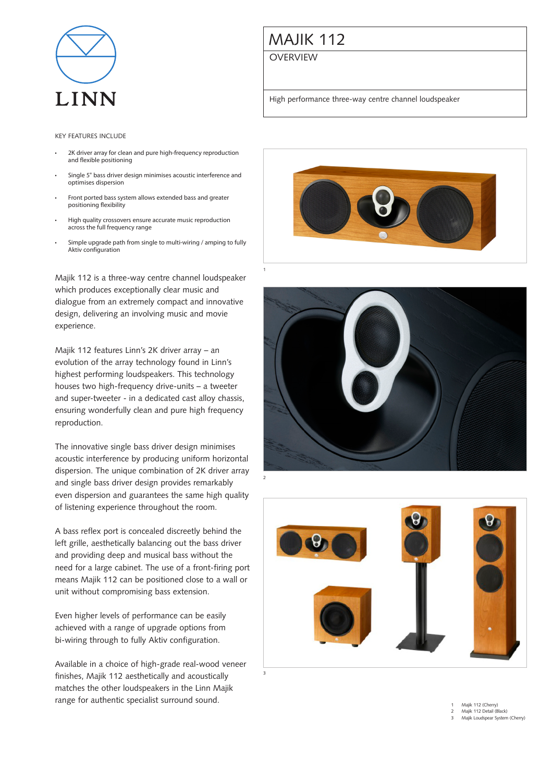

## Majik 112

**OVERVIEW** 

1

3

High performance three-way centre channel loudspeaker

## Key features include

- 2K driver array for clean and pure high-frequency reproduction and flexible positioning
- Single 5" bass driver design minimises acoustic interference and optimises dispersion
- Front ported bass system allows extended bass and greater positioning flexibility
- High quality crossovers ensure accurate music reproduction across the full frequency range
- Simple upgrade path from single to multi-wiring / amping to fully Aktiv configuration

Majik 112 is a three-way centre channel loudspeaker which produces exceptionally clear music and dialogue from an extremely compact and innovative design, delivering an involving music and movie experience.

Majik 112 features Linn's 2K driver array – an evolution of the array technology found in Linn's highest performing loudspeakers. This technology houses two high-frequency drive-units – a tweeter and super-tweeter - in a dedicated cast alloy chassis, ensuring wonderfully clean and pure high frequency reproduction.

The innovative single bass driver design minimises acoustic interference by producing uniform horizontal dispersion. The unique combination of 2K driver array and single bass driver design provides remarkably even dispersion and guarantees the same high quality of listening experience throughout the room.

A bass reflex port is concealed discreetly behind the left grille, aesthetically balancing out the bass driver and providing deep and musical bass without the need for a large cabinet. The use of a front-firing port means Majik 112 can be positioned close to a wall or unit without compromising bass extension.

Even higher levels of performance can be easily achieved with a range of upgrade options from bi-wiring through to fully Aktiv configuration.

Available in a choice of high-grade real-wood veneer finishes, Majik 112 aesthetically and acoustically matches the other loudspeakers in the Linn Majik range for authentic specialist surround sound.







Majik 112 (Cherry) Majik 112 Detail (Black)

3 Majik Loudspear System (Cherry)